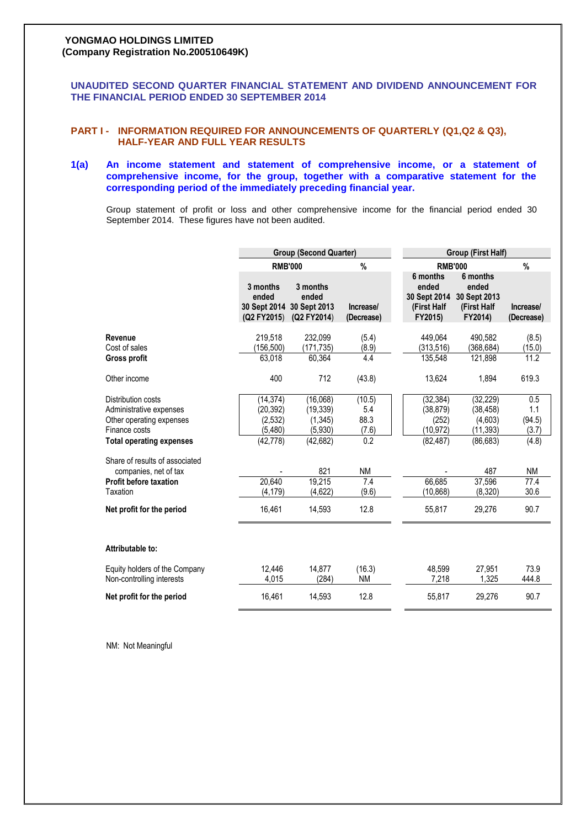# **YONGMAO HOLDINGS LIMITED (Company Registration No.200510649K)**

**UNAUDITED SECOND QUARTER FINANCIAL STATEMENT AND DIVIDEND ANNOUNCEMENT FOR THE FINANCIAL PERIOD ENDED 30 SEPTEMBER 2014**

# **PART I - INFORMATION REQUIRED FOR ANNOUNCEMENTS OF QUARTERLY (Q1,Q2 & Q3), HALF-YEAR AND FULL YEAR RESULTS**

# **1(a) An income statement and statement of comprehensive income, or a statement of comprehensive income, for the group, together with a comparative statement for the corresponding period of the immediately preceding financial year.**

Group statement of profit or loss and other comprehensive income for the financial period ended 30 September 2014. These figures have not been audited.

|                                                                                   | <b>Group (Second Quarter)</b>    |                                                               |                         | Group (First Half)                                          |                                                             |                         |  |
|-----------------------------------------------------------------------------------|----------------------------------|---------------------------------------------------------------|-------------------------|-------------------------------------------------------------|-------------------------------------------------------------|-------------------------|--|
|                                                                                   | <b>RMB'000</b>                   |                                                               | $\%$                    | <b>RMB'000</b>                                              |                                                             | $\%$                    |  |
|                                                                                   | 3 months<br>ended<br>(Q2 FY2015) | 3 months<br>ended<br>30 Sept 2014 30 Sept 2013<br>(Q2 FY2014) | Increase/<br>(Decrease) | 6 months<br>ended<br>30 Sept 2014<br>(First Half<br>FY2015) | 6 months<br>ended<br>30 Sept 2013<br>(First Half<br>FY2014) | Increase/<br>(Decrease) |  |
| Revenue<br>Cost of sales                                                          | 219.518<br>(156,500)             | 232,099<br>(171,735)                                          | (5.4)<br>(8.9)          | 449.064<br>(313,516)                                        | 490.582<br>(368, 684)                                       | (8.5)<br>(15.0)         |  |
| Gross profit                                                                      | 63,018                           | 60,364                                                        | 4.4                     | 135,548                                                     | 121,898                                                     | 11.2                    |  |
| Other income                                                                      | 400                              | 712                                                           | (43.8)                  | 13,624                                                      | 1,894                                                       | 619.3                   |  |
| Distribution costs<br>Administrative expenses                                     | (14, 374)<br>(20, 392)           | (16,068)<br>(19, 339)                                         | (10.5)<br>5.4           | (32, 384)<br>(38, 879)                                      | (32, 229)<br>(38, 458)                                      | 0.5<br>1.1              |  |
| Other operating expenses<br>Finance costs                                         | (2, 532)<br>(5, 480)             | (1, 345)<br>(5,930)                                           | 88.3<br>(7.6)           | (252)<br>(10, 972)                                          | (4,603)<br>(11, 393)                                        | (94.5)<br>(3.7)         |  |
| <b>Total operating expenses</b>                                                   | (42, 778)                        | (42, 682)                                                     | 0.2                     | (82, 487)                                                   | (86, 683)                                                   | (4.8)                   |  |
| Share of results of associated<br>companies, net of tax<br>Profit before taxation | 20,640                           | 821<br>19,215                                                 | <b>NM</b><br>7.4        | 66,685                                                      | 487<br>37,596                                               | <b>NM</b><br>77.4       |  |
| Taxation                                                                          | (4, 179)                         | (4,622)                                                       | (9.6)                   | (10, 868)                                                   | (8,320)                                                     | 30.6                    |  |
| Net profit for the period                                                         | 16,461                           | 14,593                                                        | 12.8                    | 55,817                                                      | 29,276                                                      | 90.7                    |  |
| Attributable to:                                                                  |                                  |                                                               |                         |                                                             |                                                             |                         |  |
| Equity holders of the Company<br>Non-controlling interests                        | 12,446<br>4,015                  | 14,877<br>(284)                                               | (16.3)<br><b>NM</b>     | 48,599<br>7,218                                             | 27,951<br>1,325                                             | 73.9<br>444.8           |  |
| Net profit for the period                                                         | 16,461                           | 14.593                                                        | 12.8                    | 55,817                                                      | 29,276                                                      | 90.7                    |  |
|                                                                                   |                                  |                                                               |                         |                                                             |                                                             |                         |  |

NM: Not Meaningful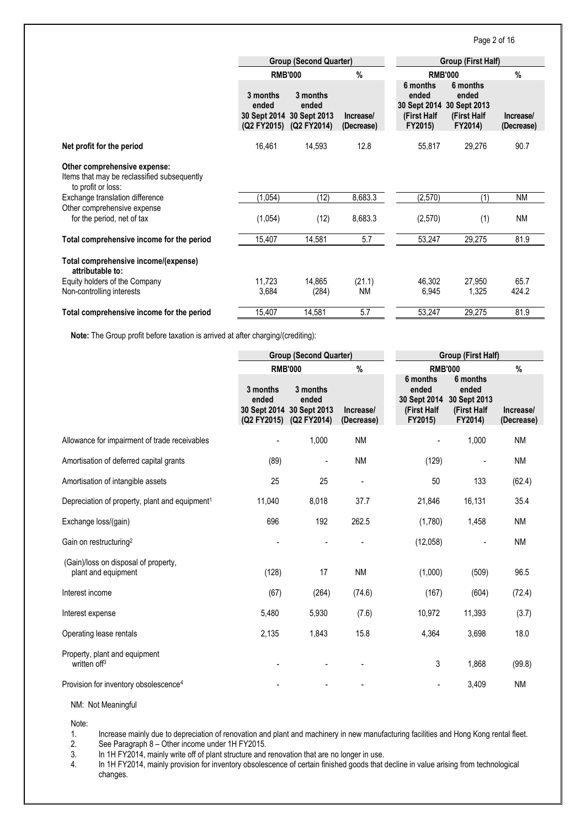# Page 2 of 16

|                                                                                                   |                                  | <b>Group (Second Quarter)</b>                                 |                         | <b>Group (First Half)</b>                                   |                                                             |                         |  |
|---------------------------------------------------------------------------------------------------|----------------------------------|---------------------------------------------------------------|-------------------------|-------------------------------------------------------------|-------------------------------------------------------------|-------------------------|--|
|                                                                                                   | <b>RMB'000</b>                   |                                                               | %                       | <b>RMB'000</b>                                              |                                                             | %                       |  |
|                                                                                                   | 3 months<br>ended<br>(Q2 FY2015) | 3 months<br>ended<br>30 Sept 2014 30 Sept 2013<br>(Q2 FY2014) | Increase/<br>(Decrease) | 6 months<br>ended<br>30 Sept 2014<br>(First Half<br>FY2015) | 6 months<br>ended<br>30 Sept 2013<br>(First Half<br>FY2014) | Increase/<br>(Decrease) |  |
| Net profit for the period                                                                         | 16,461                           | 14,593                                                        | 12.8                    | 55,817                                                      | 29,276                                                      | 90.7                    |  |
| Other comprehensive expense:<br>Items that may be reclassified subsequently<br>to profit or loss: |                                  |                                                               |                         |                                                             |                                                             |                         |  |
| Exchange translation difference                                                                   | (1,054)                          | (12)                                                          | 8,683.3                 | (2,570)                                                     | (1)                                                         | <b>NM</b>               |  |
| Other comprehensive expense<br>for the period, net of tax                                         | (1,054)                          | (12)                                                          | 8,683.3                 | (2,570)                                                     | (1)                                                         | ΝM                      |  |
| Total comprehensive income for the period                                                         | 15,407                           | 14,581                                                        | 5.7                     | 53,247                                                      | 29,275                                                      | 81.9                    |  |
| Total comprehensive income/(expense)<br>attributable to:                                          |                                  |                                                               |                         |                                                             |                                                             |                         |  |
| Equity holders of the Company                                                                     | 11.723                           | 14,865                                                        | (21.1)                  | 46.302                                                      | 27,950                                                      | 65.7                    |  |
| Non-controlling interests                                                                         | 3,684                            | (284)                                                         | <b>NM</b>               | 6,945                                                       | 1,325                                                       | 424.2                   |  |
| Total comprehensive income for the period                                                         | 15,407                           | 14,581                                                        | 5.7                     | 53,247                                                      | 29,275                                                      | 81.9                    |  |

**Note:** The Group profit before taxation is arrived at after charging/(crediting):

|                                                             | <b>Group (Second Quarter)</b> |                                                                           |                         |                                                             | Group (First Half)                                          |                         |  |
|-------------------------------------------------------------|-------------------------------|---------------------------------------------------------------------------|-------------------------|-------------------------------------------------------------|-------------------------------------------------------------|-------------------------|--|
|                                                             | <b>RMB'000</b>                |                                                                           | $\%$                    |                                                             | <b>RMB'000</b>                                              | $\%$                    |  |
|                                                             | 3 months<br>ended             | 3 months<br>ended<br>30 Sept 2014 30 Sept 2013<br>(Q2 FY2015) (Q2 FY2014) | Increase/<br>(Decrease) | 6 months<br>ended<br>30 Sept 2014<br>(First Half<br>FY2015) | 6 months<br>ended<br>30 Sept 2013<br>(First Half<br>FY2014) | Increase/<br>(Decrease) |  |
| Allowance for impairment of trade receivables               |                               | 1,000                                                                     | <b>NM</b>               |                                                             | 1,000                                                       | <b>NM</b>               |  |
| Amortisation of deferred capital grants                     | (89)                          |                                                                           | <b>NM</b>               | (129)                                                       |                                                             | <b>NM</b>               |  |
| Amortisation of intangible assets                           | 25                            | 25                                                                        | ÷                       | 50                                                          | 133                                                         | (62.4)                  |  |
| Depreciation of property, plant and equipment <sup>1</sup>  | 11,040                        | 8,018                                                                     | 37.7                    | 21,846                                                      | 16,131                                                      | 35.4                    |  |
| Exchange loss/(gain)                                        | 696                           | 192                                                                       | 262.5                   | (1,780)                                                     | 1,458                                                       | <b>NM</b>               |  |
| Gain on restructuring <sup>2</sup>                          |                               |                                                                           |                         | (12,058)                                                    |                                                             | <b>NM</b>               |  |
| (Gain)/loss on disposal of property,<br>plant and equipment | (128)                         | 17                                                                        | <b>NM</b>               | (1,000)                                                     | (509)                                                       | 96.5                    |  |
| Interest income                                             | (67)                          | (264)                                                                     | (74.6)                  | (167)                                                       | (604)                                                       | (72.4)                  |  |
| Interest expense                                            | 5,480                         | 5,930                                                                     | (7.6)                   | 10,972                                                      | 11,393                                                      | (3.7)                   |  |
| Operating lease rentals                                     | 2,135                         | 1,843                                                                     | 15.8                    | 4,364                                                       | 3,698                                                       | 18.0                    |  |
| Property, plant and equipment<br>written off <sup>3</sup>   |                               |                                                                           |                         | 3                                                           | 1,868                                                       | (99.8)                  |  |
| Provision for inventory obsolescence <sup>4</sup>           |                               |                                                                           |                         | $\overline{\phantom{0}}$                                    | 3,409                                                       | <b>NM</b>               |  |

NM: Not Meaningful

Note:

1. Increase mainly due to depreciation of renovation and plant and machinery in new manufacturing facilities and Hong Kong rental fleet. 2. See Paragraph 8 – Other income under 1H FY2015.

3. In 1H FY2014, mainly write off of plant structure and renovation that are no longer in use.<br>4. In 1H FY2014, mainly provision for inventory obsolescence of certain finished goods that In 1H FY2014, mainly provision for inventory obsolescence of certain finished goods that decline in value arising from technological changes.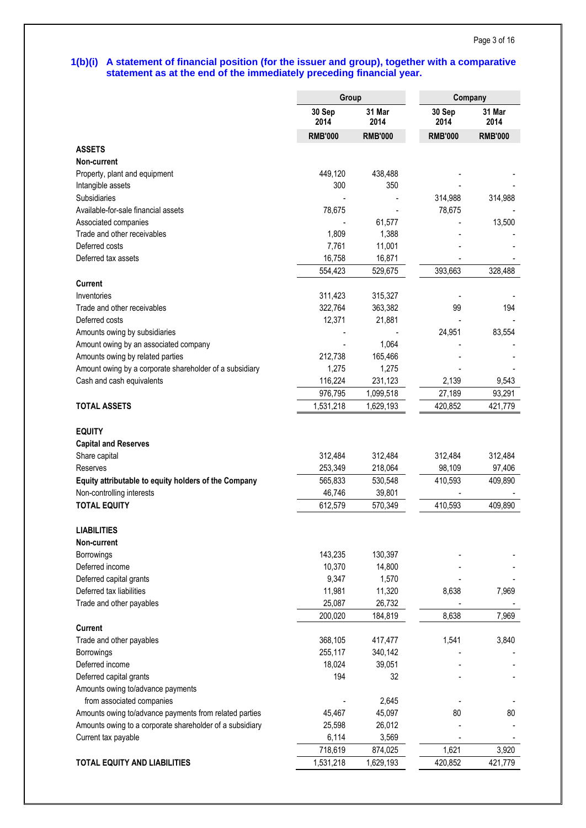# **1(b)(i) A statement of financial position (for the issuer and group), together with a comparative statement as at the end of the immediately preceding financial year.**

|                                                          | Group          |                | Company        |                |  |
|----------------------------------------------------------|----------------|----------------|----------------|----------------|--|
|                                                          | 30 Sep<br>2014 | 31 Mar<br>2014 | 30 Sep<br>2014 | 31 Mar<br>2014 |  |
|                                                          | <b>RMB'000</b> | <b>RMB'000</b> | <b>RMB'000</b> | <b>RMB'000</b> |  |
| <b>ASSETS</b>                                            |                |                |                |                |  |
| Non-current                                              |                |                |                |                |  |
| Property, plant and equipment                            | 449,120        | 438,488        |                |                |  |
| Intangible assets                                        | 300            | 350            |                |                |  |
| Subsidiaries                                             |                |                | 314,988        | 314,988        |  |
| Available-for-sale financial assets                      | 78,675         |                | 78,675         |                |  |
| Associated companies                                     |                | 61,577         |                | 13,500         |  |
| Trade and other receivables                              | 1,809          | 1,388          |                |                |  |
| Deferred costs                                           | 7,761          | 11,001         |                |                |  |
| Deferred tax assets                                      | 16,758         | 16,871         |                |                |  |
|                                                          | 554,423        | 529,675        | 393,663        | 328,488        |  |
| <b>Current</b>                                           |                |                |                |                |  |
| Inventories                                              | 311,423        | 315,327        |                |                |  |
| Trade and other receivables                              | 322,764        | 363,382        | 99             | 194            |  |
| Deferred costs                                           | 12,371         | 21,881         |                |                |  |
| Amounts owing by subsidiaries                            |                |                | 24,951         | 83,554         |  |
| Amount owing by an associated company                    |                | 1,064          |                |                |  |
| Amounts owing by related parties                         | 212,738        | 165,466        |                |                |  |
| Amount owing by a corporate shareholder of a subsidiary  | 1,275          | 1,275          |                |                |  |
| Cash and cash equivalents                                | 116,224        | 231,123        | 2,139          | 9,543          |  |
|                                                          | 976,795        | 1,099,518      | 27,189         | 93,291         |  |
| <b>TOTAL ASSETS</b>                                      | 1,531,218      | 1,629,193      | 420,852        | 421,779        |  |
|                                                          |                |                |                |                |  |
| <b>EQUITY</b>                                            |                |                |                |                |  |
| <b>Capital and Reserves</b>                              |                |                |                |                |  |
| Share capital                                            | 312,484        | 312,484        | 312,484        | 312,484        |  |
| Reserves                                                 | 253,349        | 218,064        | 98,109         | 97,406         |  |
| Equity attributable to equity holders of the Company     | 565,833        | 530,548        | 410,593        | 409,890        |  |
| Non-controlling interests                                | 46,746         | 39,801         |                |                |  |
| <b>TOTAL EQUITY</b>                                      | 612,579        | 570,349        | 410,593        | 409,890        |  |
|                                                          |                |                |                |                |  |
| <b>LIABILITIES</b>                                       |                |                |                |                |  |
| Non-current                                              | 143,235        | 130,397        |                |                |  |
| Borrowings<br>Deferred income                            | 10,370         | 14,800         |                |                |  |
| Deferred capital grants                                  | 9,347          | 1,570          |                |                |  |
| Deferred tax liabilities                                 | 11,981         | 11,320         | 8,638          | 7,969          |  |
| Trade and other payables                                 | 25,087         | 26,732         |                |                |  |
|                                                          | 200,020        | 184,819        | 8,638          | 7,969          |  |
| <b>Current</b>                                           |                |                |                |                |  |
| Trade and other payables                                 | 368,105        | 417,477        | 1,541          | 3,840          |  |
| Borrowings                                               | 255,117        | 340,142        |                |                |  |
| Deferred income                                          | 18,024         | 39,051         |                |                |  |
| Deferred capital grants                                  | 194            | 32             |                |                |  |
| Amounts owing to/advance payments                        |                |                |                |                |  |
| from associated companies                                |                | 2,645          |                |                |  |
| Amounts owing to/advance payments from related parties   | 45,467         | 45,097         | 80             | 80             |  |
| Amounts owing to a corporate shareholder of a subsidiary | 25,598         | 26,012         |                |                |  |
| Current tax payable                                      | 6,114          | 3,569          |                |                |  |
|                                                          | 718,619        | 874,025        | 1,621          | 3,920          |  |
| <b>TOTAL EQUITY AND LIABILITIES</b>                      | 1,531,218      | 1,629,193      | 420,852        | 421,779        |  |
|                                                          |                |                |                |                |  |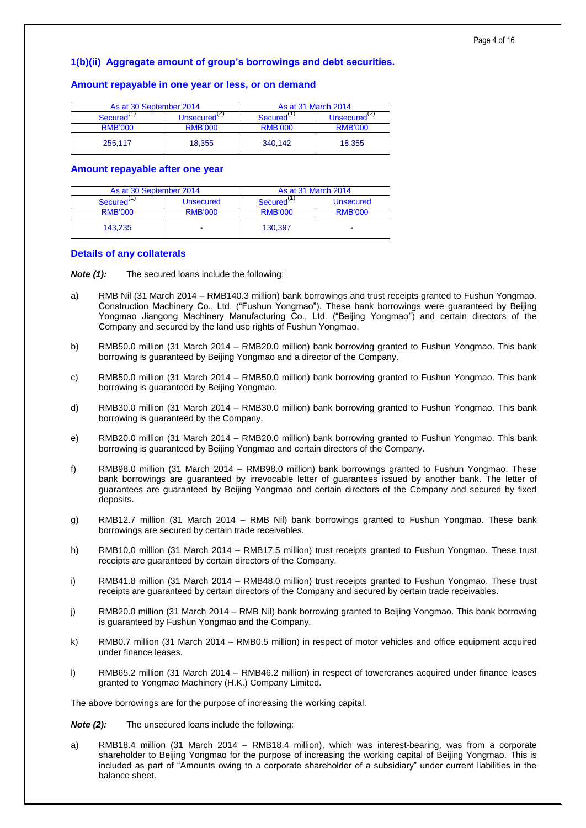# **1(b)(ii) Aggregate amount of group's borrowings and debt securities.**

# **Amount repayable in one year or less, or on demand**

| As at 30 September 2014 |                    | As at 31 March 2014    |                          |  |  |
|-------------------------|--------------------|------------------------|--------------------------|--|--|
| Secured <sup>\''</sup>  | Unsecured $^{(2)}$ | Secured <sup>\''</sup> | Unsecured <sup>(2)</sup> |  |  |
| <b>RMB'000</b>          | <b>RMB'000</b>     | <b>RMB'000</b>         | <b>RMB'000</b>           |  |  |
| 255.117                 | 18.355             | 340.142                | 18.355                   |  |  |

### **Amount repayable after one year**

| As at 30 September 2014 |                  | As at 31 March 2014   |                |  |
|-------------------------|------------------|-----------------------|----------------|--|
| Secured <sup>\'</sup>   | <b>Unsecured</b> | Secured <sup>\'</sup> | Unsecured      |  |
| <b>RMB'000</b>          | <b>RMB'000</b>   | <b>RMB'000</b>        | <b>RMB'000</b> |  |
| 143.235                 |                  | 130.397               | -              |  |

## **Details of any collaterals**

*Note (1):* The secured loans include the following:

- a) RMB Nil (31 March 2014 RMB140.3 million) bank borrowings and trust receipts granted to Fushun Yongmao. Construction Machinery Co., Ltd. ("Fushun Yongmao"). These bank borrowings were guaranteed by Beijing Yongmao Jiangong Machinery Manufacturing Co., Ltd. ("Beijing Yongmao") and certain directors of the Company and secured by the land use rights of Fushun Yongmao.
- b) RMB50.0 million (31 March 2014 RMB20.0 million) bank borrowing granted to Fushun Yongmao. This bank borrowing is guaranteed by Beijing Yongmao and a director of the Company.
- c) RMB50.0 million (31 March 2014 RMB50.0 million) bank borrowing granted to Fushun Yongmao. This bank borrowing is guaranteed by Beijing Yongmao.
- d) RMB30.0 million (31 March 2014 RMB30.0 million) bank borrowing granted to Fushun Yongmao. This bank borrowing is guaranteed by the Company.
- e) RMB20.0 million (31 March 2014 RMB20.0 million) bank borrowing granted to Fushun Yongmao. This bank borrowing is guaranteed by Beijing Yongmao and certain directors of the Company.
- f) RMB98.0 million (31 March 2014 RMB98.0 million) bank borrowings granted to Fushun Yongmao. These bank borrowings are guaranteed by irrevocable letter of guarantees issued by another bank. The letter of guarantees are guaranteed by Beijing Yongmao and certain directors of the Company and secured by fixed deposits.
- g) RMB12.7 million (31 March 2014 RMB Nil) bank borrowings granted to Fushun Yongmao. These bank borrowings are secured by certain trade receivables.
- h) RMB10.0 million (31 March 2014 RMB17.5 million) trust receipts granted to Fushun Yongmao. These trust receipts are guaranteed by certain directors of the Company.
- i) RMB41.8 million (31 March 2014 RMB48.0 million) trust receipts granted to Fushun Yongmao. These trust receipts are guaranteed by certain directors of the Company and secured by certain trade receivables.
- j) RMB20.0 million (31 March 2014 RMB Nil) bank borrowing granted to Beijing Yongmao. This bank borrowing is guaranteed by Fushun Yongmao and the Company.
- k) RMB0.7 million (31 March 2014 RMB0.5 million) in respect of motor vehicles and office equipment acquired under finance leases.
- l) RMB65.2 million (31 March 2014 RMB46.2 million) in respect of towercranes acquired under finance leases granted to Yongmao Machinery (H.K.) Company Limited.

The above borrowings are for the purpose of increasing the working capital.

*Note (2):* The unsecured loans include the following:

a) RMB18.4 million (31 March 2014 – RMB18.4 million), which was interest-bearing, was from a corporate shareholder to Beijing Yongmao for the purpose of increasing the working capital of Beijing Yongmao. This is included as part of "Amounts owing to a corporate shareholder of a subsidiary" under current liabilities in the balance sheet.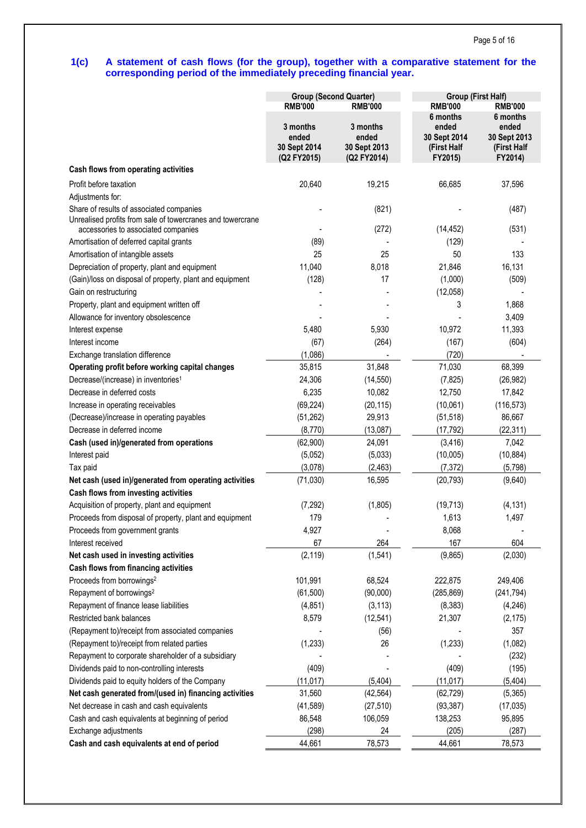# **1(c) A statement of cash flows (for the group), together with a comparative statement for the corresponding period of the immediately preceding financial year.**

|                                                                                                   | <b>Group (Second Quarter)</b>                    |                                                  | <b>Group (First Half)</b>                                   |                                                             |  |
|---------------------------------------------------------------------------------------------------|--------------------------------------------------|--------------------------------------------------|-------------------------------------------------------------|-------------------------------------------------------------|--|
|                                                                                                   | <b>RMB'000</b>                                   | <b>RMB'000</b>                                   | <b>RMB'000</b>                                              | <b>RMB'000</b>                                              |  |
|                                                                                                   | 3 months<br>ended<br>30 Sept 2014<br>(Q2 FY2015) | 3 months<br>ended<br>30 Sept 2013<br>(Q2 FY2014) | 6 months<br>ended<br>30 Sept 2014<br>(First Half<br>FY2015) | 6 months<br>ended<br>30 Sept 2013<br>(First Half<br>FY2014) |  |
| Cash flows from operating activities                                                              |                                                  |                                                  |                                                             |                                                             |  |
| Profit before taxation                                                                            | 20,640                                           | 19,215                                           | 66,685                                                      | 37,596                                                      |  |
| Adjustments for:                                                                                  |                                                  |                                                  |                                                             |                                                             |  |
| Share of results of associated companies                                                          |                                                  | (821)                                            |                                                             | (487)                                                       |  |
| Unrealised profits from sale of towercranes and towercrane<br>accessories to associated companies |                                                  | (272)                                            | (14, 452)                                                   | (531)                                                       |  |
| Amortisation of deferred capital grants                                                           | (89)                                             |                                                  | (129)                                                       |                                                             |  |
| Amortisation of intangible assets                                                                 | 25                                               | 25                                               | 50                                                          | 133                                                         |  |
| Depreciation of property, plant and equipment                                                     | 11,040                                           | 8,018                                            | 21,846                                                      | 16,131                                                      |  |
| (Gain)/loss on disposal of property, plant and equipment                                          | (128)                                            | 17                                               | (1,000)                                                     | (509)                                                       |  |
| Gain on restructuring                                                                             |                                                  |                                                  | (12,058)                                                    |                                                             |  |
| Property, plant and equipment written off                                                         |                                                  |                                                  | 3                                                           | 1,868                                                       |  |
| Allowance for inventory obsolescence                                                              |                                                  |                                                  |                                                             | 3,409                                                       |  |
| Interest expense                                                                                  | 5,480                                            | 5,930                                            | 10,972                                                      | 11,393                                                      |  |
| Interest income                                                                                   | (67)                                             | (264)                                            | (167)                                                       | (604)                                                       |  |
| Exchange translation difference                                                                   | (1,086)                                          |                                                  | (720)                                                       |                                                             |  |
| Operating profit before working capital changes                                                   | 35,815                                           | 31,848                                           | 71,030                                                      | 68,399                                                      |  |
| Decrease/(increase) in inventories <sup>1</sup>                                                   | 24,306                                           | (14, 550)                                        | (7, 825)                                                    | (26, 982)                                                   |  |
| Decrease in deferred costs                                                                        | 6,235                                            | 10,082                                           | 12,750                                                      | 17,842                                                      |  |
| Increase in operating receivables                                                                 | (69, 224)                                        | (20, 115)                                        | (10,061)                                                    | (116, 573)                                                  |  |
| (Decrease)/increase in operating payables                                                         | (51, 262)                                        | 29,913                                           | (51, 518)                                                   | 86,667                                                      |  |
| Decrease in deferred income                                                                       | (8,770)                                          | (13,087)                                         | (17, 792)                                                   | (22, 311)                                                   |  |
| Cash (used in)/generated from operations                                                          | (62,900)                                         | 24,091                                           | (3, 416)                                                    | 7,042                                                       |  |
| Interest paid                                                                                     | (5,052)                                          | (5,033)                                          | (10,005)                                                    | (10, 884)                                                   |  |
| Tax paid                                                                                          | (3,078)                                          | (2,463)                                          | (7, 372)                                                    | (5,798)                                                     |  |
| Net cash (used in)/generated from operating activities                                            | (71, 030)                                        | 16,595                                           | (20, 793)                                                   | (9,640)                                                     |  |
| Cash flows from investing activities                                                              |                                                  |                                                  |                                                             |                                                             |  |
| Acquisition of property, plant and equipment                                                      | (7, 292)                                         | (1,805)                                          | (19, 713)                                                   | (4, 131)                                                    |  |
| Proceeds from disposal of property, plant and equipment                                           | 179                                              |                                                  | 1,613                                                       | 1,497                                                       |  |
| Proceeds from government grants                                                                   | 4,927                                            |                                                  | 8,068                                                       |                                                             |  |
| Interest received                                                                                 | 67                                               | 264                                              | 167                                                         | 604                                                         |  |
| Net cash used in investing activities                                                             | (2, 119)                                         | (1,541)                                          | (9,865)                                                     | (2,030)                                                     |  |
| Cash flows from financing activities                                                              |                                                  |                                                  |                                                             |                                                             |  |
| Proceeds from borrowings <sup>2</sup>                                                             | 101,991                                          | 68,524                                           | 222,875                                                     | 249,406                                                     |  |
| Repayment of borrowings <sup>2</sup>                                                              | (61, 500)                                        | (90,000)                                         | (285, 869)                                                  | (241, 794)                                                  |  |
| Repayment of finance lease liabilities                                                            | (4, 851)                                         | (3, 113)                                         | (8, 383)                                                    | (4, 246)                                                    |  |
| Restricted bank balances                                                                          | 8,579                                            | (12, 541)                                        | 21,307                                                      | (2, 175)                                                    |  |
| (Repayment to)/receipt from associated companies                                                  |                                                  | (56)                                             |                                                             | 357                                                         |  |
| (Repayment to)/receipt from related parties                                                       |                                                  | 26                                               |                                                             |                                                             |  |
| Repayment to corporate shareholder of a subsidiary                                                | (1, 233)                                         |                                                  | (1, 233)                                                    | (1,082)                                                     |  |
| Dividends paid to non-controlling interests                                                       |                                                  |                                                  |                                                             | (232)                                                       |  |
|                                                                                                   | (409)                                            |                                                  | (409)                                                       | (195)                                                       |  |
| Dividends paid to equity holders of the Company                                                   | (11, 017)                                        | (5, 404)                                         | (11, 017)                                                   | (5,404)                                                     |  |
| Net cash generated from/(used in) financing activities                                            | 31,560                                           | (42, 564)                                        | (62, 729)                                                   | (5, 365)                                                    |  |
| Net decrease in cash and cash equivalents                                                         | (41, 589)                                        | (27, 510)                                        | (93, 387)                                                   | (17, 035)                                                   |  |
| Cash and cash equivalents at beginning of period                                                  | 86,548                                           | 106,059                                          | 138,253                                                     | 95,895                                                      |  |
| Exchange adjustments                                                                              | (298)                                            | 24                                               | (205)                                                       | (287)                                                       |  |
| Cash and cash equivalents at end of period                                                        | 44,661                                           | 78,573                                           | 44,661                                                      | 78,573                                                      |  |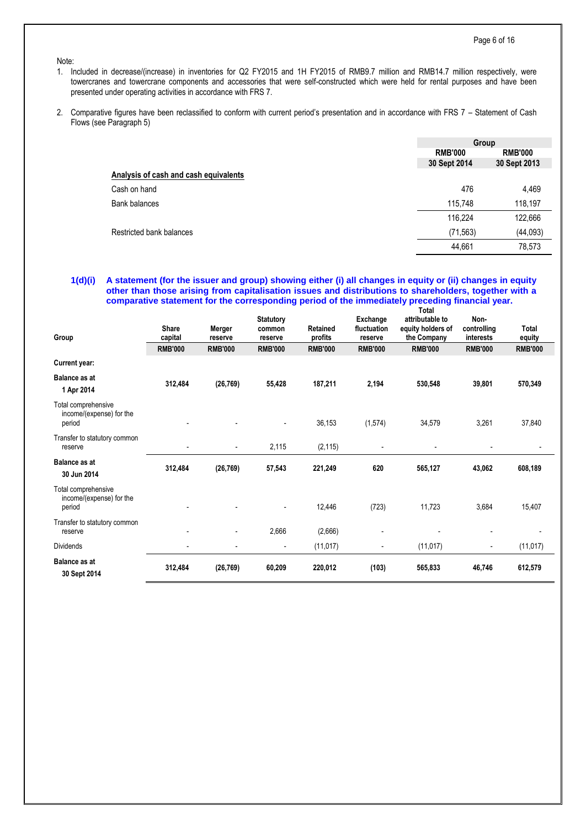### Note:

- 1. Included in decrease/(increase) in inventories for Q2 FY2015 and 1H FY2015 of RMB9.7 million and RMB14.7 million respectively, were towercranes and towercrane components and accessories that were self-constructed which were held for rental purposes and have been presented under operating activities in accordance with FRS 7.
- 2. Comparative figures have been reclassified to conform with current period's presentation and in accordance with FRS 7 Statement of Cash Flows (see Paragraph 5)

|                                       | Group                            |              |  |
|---------------------------------------|----------------------------------|--------------|--|
|                                       | <b>RMB'000</b><br><b>RMB'000</b> |              |  |
|                                       | 30 Sept 2014                     | 30 Sept 2013 |  |
| Analysis of cash and cash equivalents |                                  |              |  |
| Cash on hand                          | 476                              | 4,469        |  |
| <b>Bank balances</b>                  | 115,748                          | 118,197      |  |
|                                       | 116,224                          | 122,666      |  |
| Restricted bank balances              | (71, 563)                        | (44, 093)    |  |
|                                       | 44,661                           | 78,573       |  |
|                                       |                                  |              |  |

#### **1(d)(i) A statement (for the issuer and group) showing either (i) all changes in equity or (ii) changes in equity other than those arising from capitalisation issues and distributions to shareholders, together with a comparative statement for the corresponding period of the immediately preceding financial year. Total**

| Group                                                     | <b>Share</b><br>capital  | Merger<br>reserve        | <b>Statutory</b><br>common<br>reserve | <b>Retained</b><br>profits | Exchange<br>fluctuation<br>reserve | ι νιαι<br>attributable to<br>equity holders of<br>the Company | Non-<br>controlling<br>interests | Total<br>equity |
|-----------------------------------------------------------|--------------------------|--------------------------|---------------------------------------|----------------------------|------------------------------------|---------------------------------------------------------------|----------------------------------|-----------------|
|                                                           | <b>RMB'000</b>           | <b>RMB'000</b>           | <b>RMB'000</b>                        | <b>RMB'000</b>             | <b>RMB'000</b>                     | <b>RMB'000</b>                                                | <b>RMB'000</b>                   | <b>RMB'000</b>  |
| <b>Current year:</b>                                      |                          |                          |                                       |                            |                                    |                                                               |                                  |                 |
| <b>Balance as at</b><br>1 Apr 2014                        | 312,484                  | (26, 769)                | 55,428                                | 187,211                    | 2,194                              | 530,548                                                       | 39,801                           | 570,349         |
| Total comprehensive<br>income/(expense) for the<br>period |                          |                          | $\overline{\phantom{a}}$              | 36,153                     | (1, 574)                           | 34,579                                                        | 3,261                            | 37,840          |
| Transfer to statutory common<br>reserve                   |                          | $\overline{\phantom{a}}$ | 2,115                                 | (2, 115)                   |                                    |                                                               |                                  |                 |
| <b>Balance as at</b><br>30 Jun 2014                       | 312,484                  | (26, 769)                | 57,543                                | 221,249                    | 620                                | 565,127                                                       | 43,062                           | 608,189         |
| Total comprehensive<br>income/(expense) for the<br>period |                          |                          | $\overline{\phantom{a}}$              | 12,446                     | (723)                              | 11,723                                                        | 3,684                            | 15,407          |
| Transfer to statutory common<br>reserve                   |                          | $\overline{\phantom{a}}$ | 2,666                                 | (2,666)                    |                                    |                                                               |                                  |                 |
| <b>Dividends</b>                                          | $\overline{\phantom{a}}$ |                          | $\overline{\phantom{a}}$              | (11, 017)                  | $\overline{\phantom{a}}$           | (11, 017)                                                     | $\overline{\phantom{a}}$         | (11, 017)       |
| <b>Balance as at</b><br>30 Sept 2014                      | 312,484                  | (26, 769)                | 60,209                                | 220,012                    | (103)                              | 565,833                                                       | 46,746                           | 612,579         |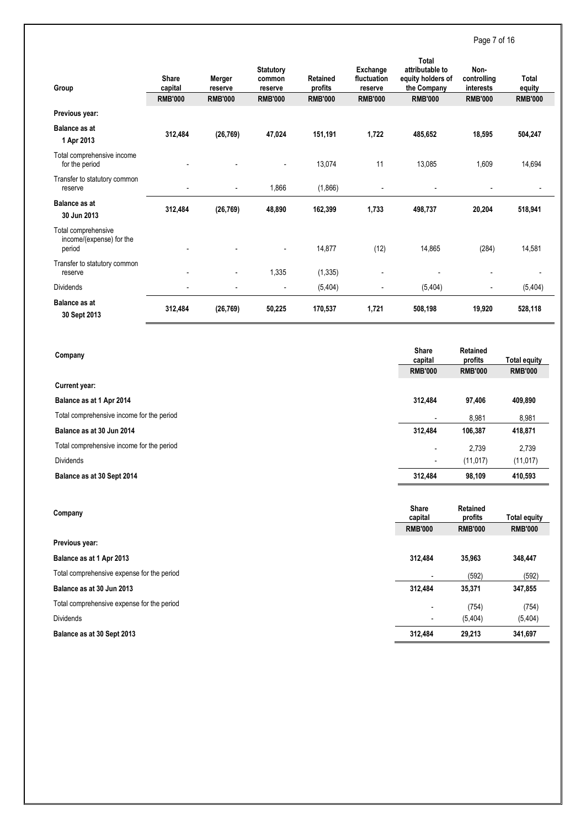Page 7 of 16

| Group                                                     | Share<br>capital | Merger<br>reserve        | <b>Statutory</b><br>common<br>reserve | <b>Retained</b><br>profits | Exchange<br>fluctuation<br>reserve | <b>Total</b><br>attributable to<br>equity holders of<br>the Company | Non-<br>controlling<br>interests | Total<br>equity |
|-----------------------------------------------------------|------------------|--------------------------|---------------------------------------|----------------------------|------------------------------------|---------------------------------------------------------------------|----------------------------------|-----------------|
|                                                           | <b>RMB'000</b>   | <b>RMB'000</b>           | <b>RMB'000</b>                        | <b>RMB'000</b>             | <b>RMB'000</b>                     | <b>RMB'000</b>                                                      | <b>RMB'000</b>                   | <b>RMB'000</b>  |
| Previous year:                                            |                  |                          |                                       |                            |                                    |                                                                     |                                  |                 |
| <b>Balance as at</b><br>1 Apr 2013                        | 312,484          | (26, 769)                | 47,024                                | 151,191                    | 1,722                              | 485,652                                                             | 18,595                           | 504,247         |
| Total comprehensive income<br>for the period              |                  |                          | $\overline{\phantom{a}}$              | 13,074                     | 11                                 | 13,085                                                              | 1,609                            | 14,694          |
| Transfer to statutory common<br>reserve                   |                  | $\blacksquare$           | 1,866                                 | (1,866)                    |                                    |                                                                     |                                  |                 |
| <b>Balance as at</b><br>30 Jun 2013                       | 312,484          | (26, 769)                | 48,890                                | 162,399                    | 1,733                              | 498,737                                                             | 20,204                           | 518,941         |
| Total comprehensive<br>income/(expense) for the<br>period |                  |                          | $\overline{\phantom{a}}$              | 14,877                     | (12)                               | 14,865                                                              | (284)                            | 14,581          |
| Transfer to statutory common<br>reserve                   |                  | $\overline{\phantom{a}}$ | 1,335                                 | (1, 335)                   |                                    |                                                                     | $\overline{a}$                   |                 |
| <b>Dividends</b>                                          |                  | -                        | $\overline{\phantom{a}}$              | (5,404)                    |                                    | (5, 404)                                                            | $\overline{\phantom{a}}$         | (5,404)         |
| <b>Balance as at</b><br>30 Sept 2013                      | 312,484          | (26, 769)                | 50,225                                | 170,537                    | 1,721                              | 508,198                                                             | 19,920                           | 528,118         |

| Company                                    | <b>Share</b><br>capital | <b>Retained</b><br>profits | <b>Total equity</b> |
|--------------------------------------------|-------------------------|----------------------------|---------------------|
|                                            | <b>RMB'000</b>          | <b>RMB'000</b>             | <b>RMB'000</b>      |
| Current year:                              |                         |                            |                     |
| Balance as at 1 Apr 2014                   | 312,484                 | 97,406                     | 409,890             |
| Total comprehensive income for the period  | $\blacksquare$          | 8,981                      | 8,981               |
| Balance as at 30 Jun 2014                  | 312,484                 | 106,387                    | 418,871             |
| Total comprehensive income for the period  |                         | 2,739                      | 2,739               |
| <b>Dividends</b>                           |                         | (11, 017)                  | (11, 017)           |
| Balance as at 30 Sept 2014                 | 312,484                 | 98,109                     | 410,593             |
|                                            |                         |                            |                     |
| Company                                    | <b>Share</b><br>capital | Retained<br>profits        | <b>Total equity</b> |
|                                            | <b>RMB'000</b>          | <b>RMB'000</b>             | <b>RMB'000</b>      |
| Previous year:                             |                         |                            |                     |
| Balance as at 1 Apr 2013                   | 312,484                 | 35,963                     | 348,447             |
| Total comprehensive expense for the period |                         | (592)                      | (592)               |
| Balance as at 30 Jun 2013                  | 312,484                 | 35,371                     | 347,855             |
| Total comprehensive expense for the period |                         | (754)                      | (754)               |
| <b>Dividends</b>                           |                         | (5,404)                    | (5, 404)            |
|                                            |                         |                            |                     |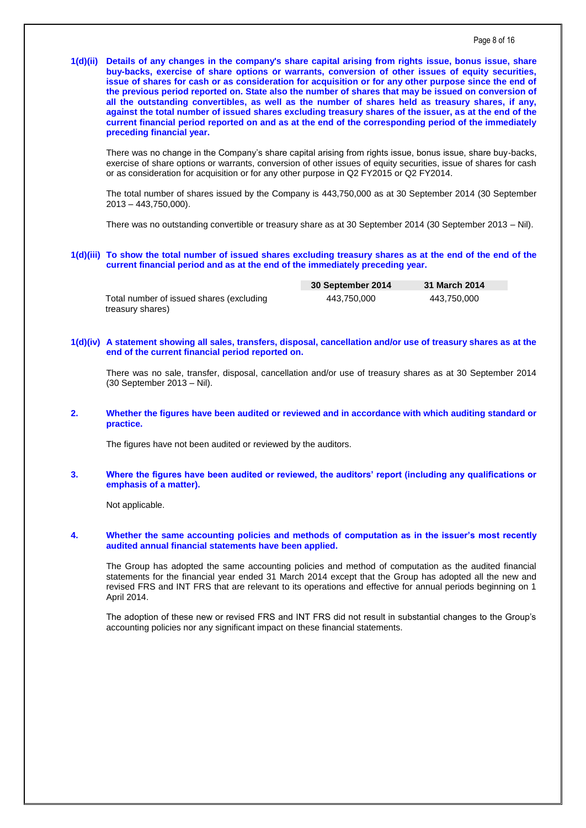**1(d)(ii) Details of any changes in the company's share capital arising from rights issue, bonus issue, share buy-backs, exercise of share options or warrants, conversion of other issues of equity securities, issue of shares for cash or as consideration for acquisition or for any other purpose since the end of the previous period reported on. State also the number of shares that may be issued on conversion of all the outstanding convertibles, as well as the number of shares held as treasury shares, if any, against the total number of issued shares excluding treasury shares of the issuer, as at the end of the current financial period reported on and as at the end of the corresponding period of the immediately preceding financial year.**

There was no change in the Company's share capital arising from rights issue, bonus issue, share buy-backs, exercise of share options or warrants, conversion of other issues of equity securities, issue of shares for cash or as consideration for acquisition or for any other purpose in Q2 FY2015 or Q2 FY2014.

The total number of shares issued by the Company is 443,750,000 as at 30 September 2014 (30 September 2013 – 443,750,000).

There was no outstanding convertible or treasury share as at 30 September 2014 (30 September 2013 – Nil).

#### **1(d)(iii) To show the total number of issued shares excluding treasury shares as at the end of the end of the current financial period and as at the end of the immediately preceding year.**

|                                          | 30 September 2014 | 31 March 2014 |  |
|------------------------------------------|-------------------|---------------|--|
| Total number of issued shares (excluding | 443.750.000       | 443.750.000   |  |
| treasury shares)                         |                   |               |  |

### **1(d)(iv) A statement showing all sales, transfers, disposal, cancellation and/or use of treasury shares as at the end of the current financial period reported on.**

There was no sale, transfer, disposal, cancellation and/or use of treasury shares as at 30 September 2014 (30 September 2013 – Nil).

**2. Whether the figures have been audited or reviewed and in accordance with which auditing standard or practice.**

The figures have not been audited or reviewed by the auditors.

### **3. Where the figures have been audited or reviewed, the auditors' report (including any qualifications or emphasis of a matter).**

Not applicable.

# **4. Whether the same accounting policies and methods of computation as in the issuer's most recently audited annual financial statements have been applied.**

The Group has adopted the same accounting policies and method of computation as the audited financial statements for the financial year ended 31 March 2014 except that the Group has adopted all the new and revised FRS and INT FRS that are relevant to its operations and effective for annual periods beginning on 1 April 2014.

The adoption of these new or revised FRS and INT FRS did not result in substantial changes to the Group's accounting policies nor any significant impact on these financial statements.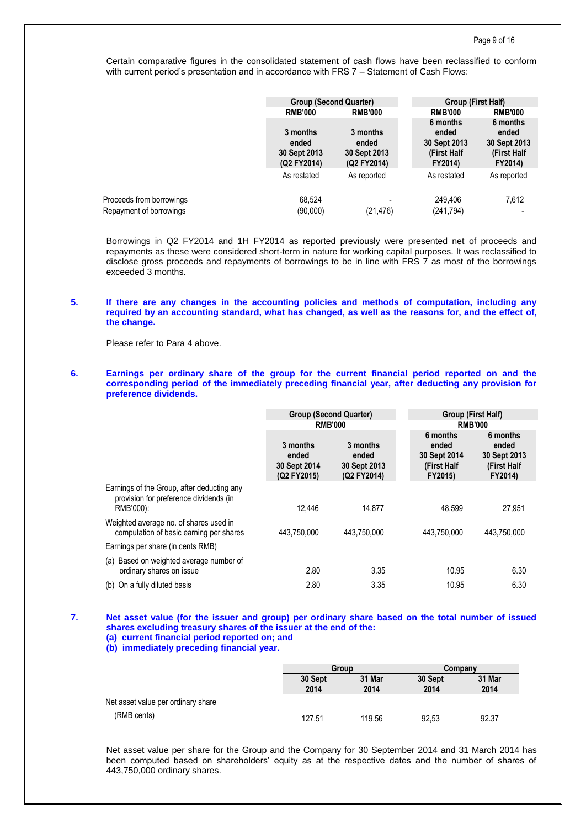Certain comparative figures in the consolidated statement of cash flows have been reclassified to conform with current period's presentation and in accordance with FRS 7 – Statement of Cash Flows:

|                                                     | <b>Group (Second Quarter)</b><br><b>RMB'000</b><br><b>RMB'000</b> |                                                  | Group (First Half)                                          |                                                             |  |
|-----------------------------------------------------|-------------------------------------------------------------------|--------------------------------------------------|-------------------------------------------------------------|-------------------------------------------------------------|--|
|                                                     |                                                                   |                                                  | <b>RMB'000</b>                                              | <b>RMB'000</b>                                              |  |
|                                                     | 3 months<br>ended<br>30 Sept 2013<br>(Q2 FY2014)                  | 3 months<br>ended<br>30 Sept 2013<br>(Q2 FY2014) | 6 months<br>ended<br>30 Sept 2013<br>(First Half<br>FY2014) | 6 months<br>ended<br>30 Sept 2013<br>(First Half<br>FY2014) |  |
|                                                     | As restated                                                       | As reported                                      | As restated                                                 | As reported                                                 |  |
| Proceeds from borrowings<br>Repayment of borrowings | 68.524<br>(90,000)                                                | (21, 476)                                        | 249.406<br>(241,794)                                        | 7,612                                                       |  |

Borrowings in Q2 FY2014 and 1H FY2014 as reported previously were presented net of proceeds and repayments as these were considered short-term in nature for working capital purposes. It was reclassified to disclose gross proceeds and repayments of borrowings to be in line with FRS 7 as most of the borrowings exceeded 3 months.

# **5. If there are any changes in the accounting policies and methods of computation, including any required by an accounting standard, what has changed, as well as the reasons for, and the effect of, the change.**

Please refer to Para 4 above.

**6. Earnings per ordinary share of the group for the current financial period reported on and the corresponding period of the immediately preceding financial year, after deducting any provision for preference dividends.**

|                                                                                                   | <b>Group (Second Quarter)</b>                    |                                                  | Group (First Half)<br><b>RMB'000</b>                        |                                                             |  |
|---------------------------------------------------------------------------------------------------|--------------------------------------------------|--------------------------------------------------|-------------------------------------------------------------|-------------------------------------------------------------|--|
|                                                                                                   |                                                  | <b>RMB'000</b>                                   |                                                             |                                                             |  |
|                                                                                                   | 3 months<br>ended<br>30 Sept 2014<br>(Q2 FY2015) | 3 months<br>ended<br>30 Sept 2013<br>(Q2 FY2014) | 6 months<br>ended<br>30 Sept 2014<br>(First Half<br>FY2015) | 6 months<br>ended<br>30 Sept 2013<br>(First Half<br>FY2014) |  |
| Earnings of the Group, after deducting any<br>provision for preference dividends (in<br>RMB'000): | 12.446                                           | 14.877                                           | 48.599                                                      | 27.951                                                      |  |
| Weighted average no. of shares used in<br>computation of basic earning per shares                 | 443,750,000                                      | 443.750.000                                      | 443.750.000                                                 | 443.750.000                                                 |  |
| Earnings per share (in cents RMB)                                                                 |                                                  |                                                  |                                                             |                                                             |  |
| (a) Based on weighted average number of<br>ordinary shares on issue                               | 2.80                                             | 3.35                                             | 10.95                                                       | 6.30                                                        |  |
| On a fully diluted basis<br>(b)                                                                   | 2.80                                             | 3.35                                             | 10.95                                                       | 6.30                                                        |  |

- **7. Net asset value (for the issuer and group) per ordinary share based on the total number of issued shares excluding treasury shares of the issuer at the end of the:**
	- **(a) current financial period reported on; and (b) immediately preceding financial year.**

|                                    |                 | Group          |                 | Company        |  |
|------------------------------------|-----------------|----------------|-----------------|----------------|--|
|                                    | 30 Sept<br>2014 | 31 Mar<br>2014 | 30 Sept<br>2014 | 31 Mar<br>2014 |  |
| Net asset value per ordinary share |                 |                |                 |                |  |
| (RMB cents)                        | 127.51          | 119.56         | 92.53           | 92.37          |  |

Net asset value per share for the Group and the Company for 30 September 2014 and 31 March 2014 has been computed based on shareholders' equity as at the respective dates and the number of shares of 443,750,000 ordinary shares.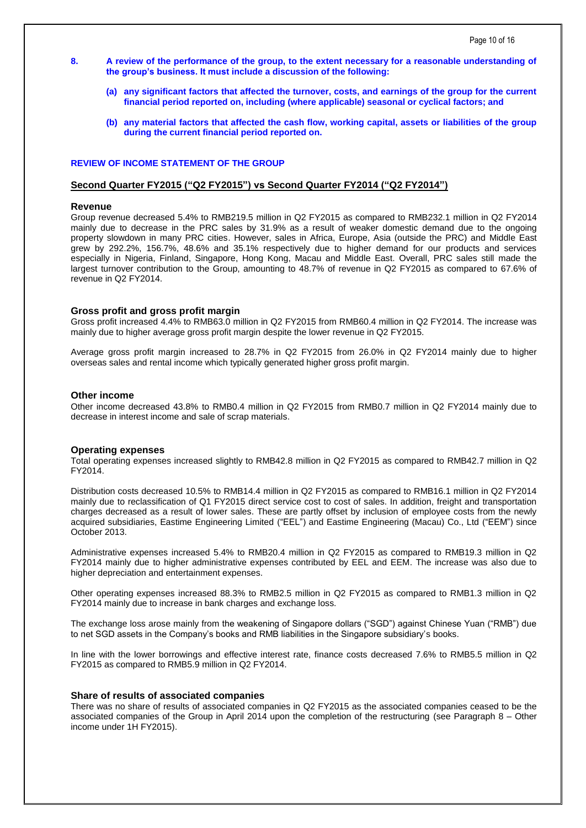- **8. A review of the performance of the group, to the extent necessary for a reasonable understanding of the group's business. It must include a discussion of the following:**
	- **(a) any significant factors that affected the turnover, costs, and earnings of the group for the current financial period reported on, including (where applicable) seasonal or cyclical factors; and**
	- **(b) any material factors that affected the cash flow, working capital, assets or liabilities of the group during the current financial period reported on.**

### **REVIEW OF INCOME STATEMENT OF THE GROUP**

### **Second Quarter FY2015 ("Q2 FY2015") vs Second Quarter FY2014 ("Q2 FY2014")**

### **Revenue**

Group revenue decreased 5.4% to RMB219.5 million in Q2 FY2015 as compared to RMB232.1 million in Q2 FY2014 mainly due to decrease in the PRC sales by 31.9% as a result of weaker domestic demand due to the ongoing property slowdown in many PRC cities. However, sales in Africa, Europe, Asia (outside the PRC) and Middle East grew by 292.2%, 156.7%, 48.6% and 35.1% respectively due to higher demand for our products and services especially in Nigeria, Finland, Singapore, Hong Kong, Macau and Middle East. Overall, PRC sales still made the largest turnover contribution to the Group, amounting to 48.7% of revenue in Q2 FY2015 as compared to 67.6% of revenue in Q2 FY2014.

#### **Gross profit and gross profit margin**

Gross profit increased 4.4% to RMB63.0 million in Q2 FY2015 from RMB60.4 million in Q2 FY2014. The increase was mainly due to higher average gross profit margin despite the lower revenue in Q2 FY2015.

Average gross profit margin increased to 28.7% in Q2 FY2015 from 26.0% in Q2 FY2014 mainly due to higher overseas sales and rental income which typically generated higher gross profit margin.

# **Other income**

Other income decreased 43.8% to RMB0.4 million in Q2 FY2015 from RMB0.7 million in Q2 FY2014 mainly due to decrease in interest income and sale of scrap materials.

### **Operating expenses**

Total operating expenses increased slightly to RMB42.8 million in Q2 FY2015 as compared to RMB42.7 million in Q2 FY2014.

Distribution costs decreased 10.5% to RMB14.4 million in Q2 FY2015 as compared to RMB16.1 million in Q2 FY2014 mainly due to reclassification of Q1 FY2015 direct service cost to cost of sales. In addition, freight and transportation charges decreased as a result of lower sales. These are partly offset by inclusion of employee costs from the newly acquired subsidiaries, Eastime Engineering Limited ("EEL") and Eastime Engineering (Macau) Co., Ltd ("EEM") since October 2013.

Administrative expenses increased 5.4% to RMB20.4 million in Q2 FY2015 as compared to RMB19.3 million in Q2 FY2014 mainly due to higher administrative expenses contributed by EEL and EEM. The increase was also due to higher depreciation and entertainment expenses.

Other operating expenses increased 88.3% to RMB2.5 million in Q2 FY2015 as compared to RMB1.3 million in Q2 FY2014 mainly due to increase in bank charges and exchange loss.

The exchange loss arose mainly from the weakening of Singapore dollars ("SGD") against Chinese Yuan ("RMB") due to net SGD assets in the Company's books and RMB liabilities in the Singapore subsidiary's books.

In line with the lower borrowings and effective interest rate, finance costs decreased 7.6% to RMB5.5 million in Q2 FY2015 as compared to RMB5.9 million in Q2 FY2014.

### **Share of results of associated companies**

There was no share of results of associated companies in Q2 FY2015 as the associated companies ceased to be the associated companies of the Group in April 2014 upon the completion of the restructuring (see Paragraph 8 – Other income under 1H FY2015).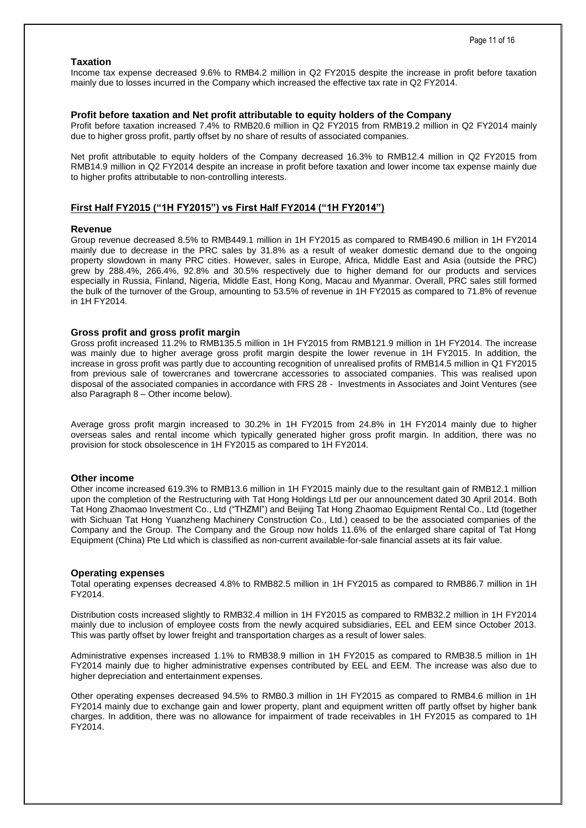# **Taxation**

Income tax expense decreased 9.6% to RMB4.2 million in Q2 FY2015 despite the increase in profit before taxation mainly due to losses incurred in the Company which increased the effective tax rate in Q2 FY2014.

#### **Profit before taxation and Net profit attributable to equity holders of the Company**

Profit before taxation increased 7.4% to RMB20.6 million in Q2 FY2015 from RMB19.2 million in Q2 FY2014 mainly due to higher gross profit, partly offset by no share of results of associated companies.

Net profit attributable to equity holders of the Company decreased 16.3% to RMB12.4 million in Q2 FY2015 from RMB14.9 million in Q2 FY2014 despite an increase in profit before taxation and lower income tax expense mainly due to higher profits attributable to non-controlling interests.

# **First Half FY2015 ("1H FY2015") vs First Half FY2014 ("1H FY2014")**

### **Revenue**

Group revenue decreased 8.5% to RMB449.1 million in 1H FY2015 as compared to RMB490.6 million in 1H FY2014 mainly due to decrease in the PRC sales by 31.8% as a result of weaker domestic demand due to the ongoing property slowdown in many PRC cities. However, sales in Europe, Africa, Middle East and Asia (outside the PRC) grew by 288.4%, 266.4%, 92.8% and 30.5% respectively due to higher demand for our products and services especially in Russia, Finland, Nigeria, Middle East, Hong Kong, Macau and Myanmar. Overall, PRC sales still formed the bulk of the turnover of the Group, amounting to 53.5% of revenue in 1H FY2015 as compared to 71.8% of revenue in 1H FY2014.

### **Gross profit and gross profit margin**

Gross profit increased 11.2% to RMB135.5 million in 1H FY2015 from RMB121.9 million in 1H FY2014. The increase was mainly due to higher average gross profit margin despite the lower revenue in 1H FY2015. In addition, the increase in gross profit was partly due to accounting recognition of unrealised profits of RMB14.5 million in Q1 FY2015 from previous sale of towercranes and towercrane accessories to associated companies. This was realised upon disposal of the associated companies in accordance with FRS 28 - Investments in Associates and Joint Ventures (see also Paragraph 8 – Other income below).

Average gross profit margin increased to 30.2% in 1H FY2015 from 24.8% in 1H FY2014 mainly due to higher overseas sales and rental income which typically generated higher gross profit margin. In addition, there was no provision for stock obsolescence in 1H FY2015 as compared to 1H FY2014.

# **Other income**

Other income increased 619.3% to RMB13.6 million in 1H FY2015 mainly due to the resultant gain of RMB12.1 million upon the completion of the Restructuring with Tat Hong Holdings Ltd per our announcement dated 30 April 2014. Both Tat Hong Zhaomao Investment Co., Ltd ("THZMI") and Beijing Tat Hong Zhaomao Equipment Rental Co., Ltd (together with Sichuan Tat Hong Yuanzheng Machinery Construction Co., Ltd.) ceased to be the associated companies of the Company and the Group. The Company and the Group now holds 11.6% of the enlarged share capital of Tat Hong Equipment (China) Pte Ltd which is classified as non-current available-for-sale financial assets at its fair value.

### **Operating expenses**

Total operating expenses decreased 4.8% to RMB82.5 million in 1H FY2015 as compared to RMB86.7 million in 1H FY2014.

Distribution costs increased slightly to RMB32.4 million in 1H FY2015 as compared to RMB32.2 million in 1H FY2014 mainly due to inclusion of employee costs from the newly acquired subsidiaries, EEL and EEM since October 2013. This was partly offset by lower freight and transportation charges as a result of lower sales.

Administrative expenses increased 1.1% to RMB38.9 million in 1H FY2015 as compared to RMB38.5 million in 1H FY2014 mainly due to higher administrative expenses contributed by EEL and EEM. The increase was also due to higher depreciation and entertainment expenses.

Other operating expenses decreased 94.5% to RMB0.3 million in 1H FY2015 as compared to RMB4.6 million in 1H FY2014 mainly due to exchange gain and lower property, plant and equipment written off partly offset by higher bank charges. In addition, there was no allowance for impairment of trade receivables in 1H FY2015 as compared to 1H FY2014.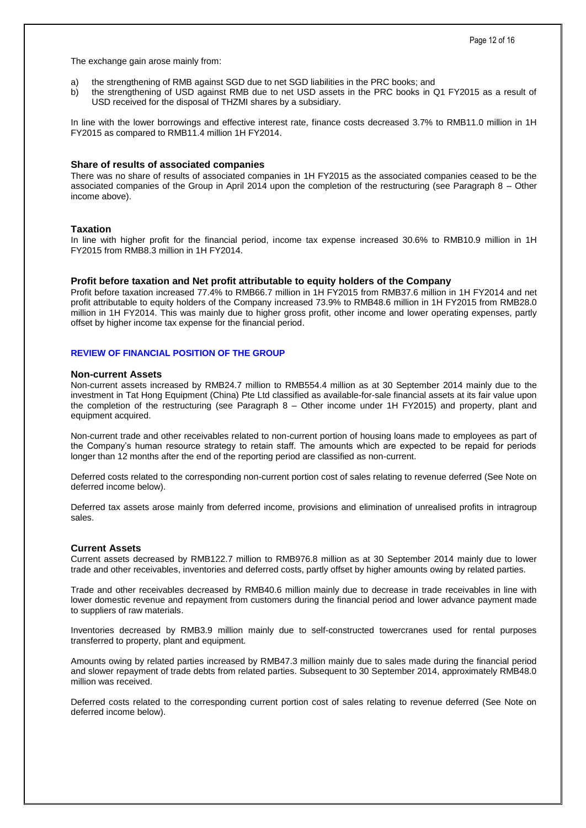The exchange gain arose mainly from:

- a) the strengthening of RMB against SGD due to net SGD liabilities in the PRC books; and
- b) the strengthening of USD against RMB due to net USD assets in the PRC books in Q1 FY2015 as a result of USD received for the disposal of THZMI shares by a subsidiary.

In line with the lower borrowings and effective interest rate, finance costs decreased 3.7% to RMB11.0 million in 1H FY2015 as compared to RMB11.4 million 1H FY2014.

# **Share of results of associated companies**

There was no share of results of associated companies in 1H FY2015 as the associated companies ceased to be the associated companies of the Group in April 2014 upon the completion of the restructuring (see Paragraph 8 – Other income above).

### **Taxation**

In line with higher profit for the financial period, income tax expense increased 30.6% to RMB10.9 million in 1H FY2015 from RMB8.3 million in 1H FY2014.

### **Profit before taxation and Net profit attributable to equity holders of the Company**

Profit before taxation increased 77.4% to RMB66.7 million in 1H FY2015 from RMB37.6 million in 1H FY2014 and net profit attributable to equity holders of the Company increased 73.9% to RMB48.6 million in 1H FY2015 from RMB28.0 million in 1H FY2014. This was mainly due to higher gross profit, other income and lower operating expenses, partly offset by higher income tax expense for the financial period.

### **REVIEW OF FINANCIAL POSITION OF THE GROUP**

#### **Non-current Assets**

Non-current assets increased by RMB24.7 million to RMB554.4 million as at 30 September 2014 mainly due to the investment in Tat Hong Equipment (China) Pte Ltd classified as available-for-sale financial assets at its fair value upon the completion of the restructuring (see Paragraph 8 – Other income under 1H FY2015) and property, plant and equipment acquired.

Non-current trade and other receivables related to non-current portion of housing loans made to employees as part of the Company's human resource strategy to retain staff. The amounts which are expected to be repaid for periods longer than 12 months after the end of the reporting period are classified as non-current.

Deferred costs related to the corresponding non-current portion cost of sales relating to revenue deferred (See Note on deferred income below).

Deferred tax assets arose mainly from deferred income, provisions and elimination of unrealised profits in intragroup sales.

# **Current Assets**

Current assets decreased by RMB122.7 million to RMB976.8 million as at 30 September 2014 mainly due to lower trade and other receivables, inventories and deferred costs, partly offset by higher amounts owing by related parties.

Trade and other receivables decreased by RMB40.6 million mainly due to decrease in trade receivables in line with lower domestic revenue and repayment from customers during the financial period and lower advance payment made to suppliers of raw materials.

Inventories decreased by RMB3.9 million mainly due to self-constructed towercranes used for rental purposes transferred to property, plant and equipment.

Amounts owing by related parties increased by RMB47.3 million mainly due to sales made during the financial period and slower repayment of trade debts from related parties. Subsequent to 30 September 2014, approximately RMB48.0 million was received.

Deferred costs related to the corresponding current portion cost of sales relating to revenue deferred (See Note on deferred income below).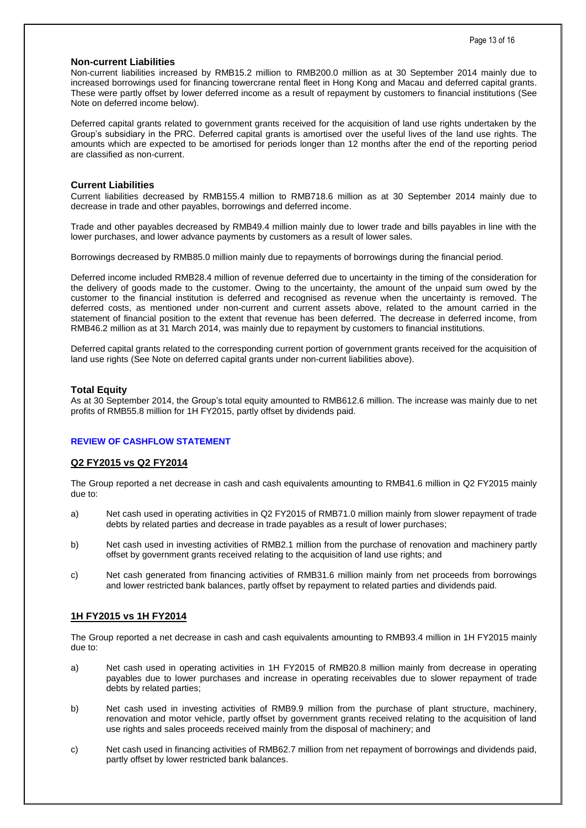# **Non-current Liabilities**

Non-current liabilities increased by RMB15.2 million to RMB200.0 million as at 30 September 2014 mainly due to increased borrowings used for financing towercrane rental fleet in Hong Kong and Macau and deferred capital grants. These were partly offset by lower deferred income as a result of repayment by customers to financial institutions (See Note on deferred income below).

Deferred capital grants related to government grants received for the acquisition of land use rights undertaken by the Group's subsidiary in the PRC. Deferred capital grants is amortised over the useful lives of the land use rights. The amounts which are expected to be amortised for periods longer than 12 months after the end of the reporting period are classified as non-current.

### **Current Liabilities**

Current liabilities decreased by RMB155.4 million to RMB718.6 million as at 30 September 2014 mainly due to decrease in trade and other payables, borrowings and deferred income.

Trade and other payables decreased by RMB49.4 million mainly due to lower trade and bills payables in line with the lower purchases, and lower advance payments by customers as a result of lower sales.

Borrowings decreased by RMB85.0 million mainly due to repayments of borrowings during the financial period.

Deferred income included RMB28.4 million of revenue deferred due to uncertainty in the timing of the consideration for the delivery of goods made to the customer. Owing to the uncertainty, the amount of the unpaid sum owed by the customer to the financial institution is deferred and recognised as revenue when the uncertainty is removed. The deferred costs, as mentioned under non-current and current assets above, related to the amount carried in the statement of financial position to the extent that revenue has been deferred. The decrease in deferred income, from RMB46.2 million as at 31 March 2014, was mainly due to repayment by customers to financial institutions.

Deferred capital grants related to the corresponding current portion of government grants received for the acquisition of land use rights (See Note on deferred capital grants under non-current liabilities above).

### **Total Equity**

As at 30 September 2014, the Group's total equity amounted to RMB612.6 million. The increase was mainly due to net profits of RMB55.8 million for 1H FY2015, partly offset by dividends paid.

# **REVIEW OF CASHFLOW STATEMENT**

# **Q2 FY2015 vs Q2 FY2014**

The Group reported a net decrease in cash and cash equivalents amounting to RMB41.6 million in Q2 FY2015 mainly due to:

- a) Net cash used in operating activities in Q2 FY2015 of RMB71.0 million mainly from slower repayment of trade debts by related parties and decrease in trade payables as a result of lower purchases;
- b) Net cash used in investing activities of RMB2.1 million from the purchase of renovation and machinery partly offset by government grants received relating to the acquisition of land use rights; and
- c) Net cash generated from financing activities of RMB31.6 million mainly from net proceeds from borrowings and lower restricted bank balances, partly offset by repayment to related parties and dividends paid.

# **1H FY2015 vs 1H FY2014**

The Group reported a net decrease in cash and cash equivalents amounting to RMB93.4 million in 1H FY2015 mainly due to:

- a) Net cash used in operating activities in 1H FY2015 of RMB20.8 million mainly from decrease in operating payables due to lower purchases and increase in operating receivables due to slower repayment of trade debts by related parties;
- b) Net cash used in investing activities of RMB9.9 million from the purchase of plant structure, machinery, renovation and motor vehicle, partly offset by government grants received relating to the acquisition of land use rights and sales proceeds received mainly from the disposal of machinery; and
- c) Net cash used in financing activities of RMB62.7 million from net repayment of borrowings and dividends paid, partly offset by lower restricted bank balances.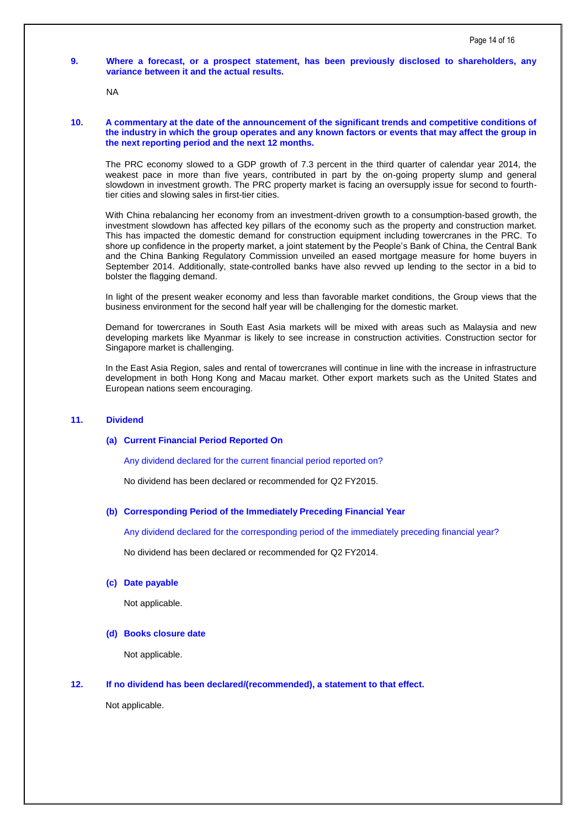# **9. Where a forecast, or a prospect statement, has been previously disclosed to shareholders, any variance between it and the actual results.**

NA

# **10. A commentary at the date of the announcement of the significant trends and competitive conditions of the industry in which the group operates and any known factors or events that may affect the group in the next reporting period and the next 12 months.**

The PRC economy slowed to a GDP growth of 7.3 percent in the third quarter of calendar year 2014, the weakest pace in more than five years, contributed in part by the on-going property slump and general slowdown in investment growth. The PRC property market is facing an oversupply issue for second to fourthtier cities and slowing sales in first-tier cities.

With China rebalancing her economy from an investment-driven growth to a consumption-based growth, the investment slowdown has affected key pillars of the economy such as the property and construction market. This has impacted the domestic demand for construction equipment including towercranes in the PRC. To shore up confidence in the property market, a joint statement by the People's Bank of China, the Central Bank and the China Banking Regulatory Commission unveiled an eased mortgage measure for home buyers in September 2014. Additionally, state-controlled banks have also revved up lending to the sector in a bid to bolster the flagging demand.

In light of the present weaker economy and less than favorable market conditions, the Group views that the business environment for the second half year will be challenging for the domestic market.

Demand for towercranes in South East Asia markets will be mixed with areas such as Malaysia and new developing markets like Myanmar is likely to see increase in construction activities. Construction sector for Singapore market is challenging.

In the East Asia Region, sales and rental of towercranes will continue in line with the increase in infrastructure development in both Hong Kong and Macau market. Other export markets such as the United States and European nations seem encouraging.

# **11. Dividend**

# **(a) Current Financial Period Reported On**

Any dividend declared for the current financial period reported on?

No dividend has been declared or recommended for Q2 FY2015.

# **(b) Corresponding Period of the Immediately Preceding Financial Year**

Any dividend declared for the corresponding period of the immediately preceding financial year?

No dividend has been declared or recommended for Q2 FY2014.

#### **(c) Date payable**

Not applicable.

#### **(d) Books closure date**

Not applicable.

# **12. If no dividend has been declared/(recommended), a statement to that effect.**

Not applicable.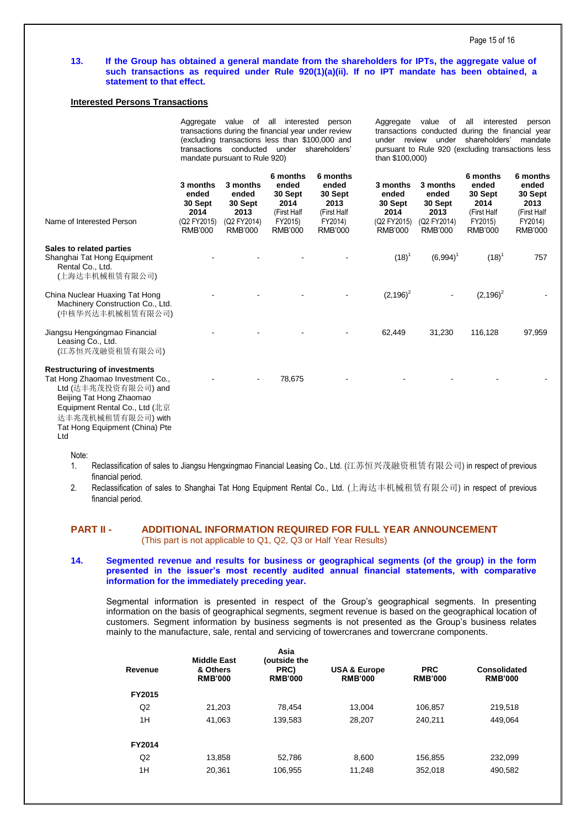### **13. If the Group has obtained a general mandate from the shareholders for IPTs, the aggregate value of such transactions as required under Rule 920(1)(a)(ii). If no IPT mandate has been obtained, a statement to that effect.**

# **Interested Persons Transactions**

|                                                                                                                                                                                                                             | Aggregate value of all interested<br>person<br>transactions during the financial year under review<br>(excluding transactions less than \$100,000 and<br>transactions conducted under shareholders'<br>mandate pursuant to Rule 920) |                                                                       |                                                                                  | Aggregate value of<br>all<br>interested<br>person<br>transactions conducted during the financial year<br>under review under<br>shareholders'<br>mandate<br>pursuant to Rule 920 (excluding transactions less<br>than \$100,000) |                                                                       |                                                                       |                                                                                  |                                                                                  |
|-----------------------------------------------------------------------------------------------------------------------------------------------------------------------------------------------------------------------------|--------------------------------------------------------------------------------------------------------------------------------------------------------------------------------------------------------------------------------------|-----------------------------------------------------------------------|----------------------------------------------------------------------------------|---------------------------------------------------------------------------------------------------------------------------------------------------------------------------------------------------------------------------------|-----------------------------------------------------------------------|-----------------------------------------------------------------------|----------------------------------------------------------------------------------|----------------------------------------------------------------------------------|
| Name of Interested Person                                                                                                                                                                                                   | 3 months<br>ended<br>30 Sept<br>2014<br>(Q2 FY2015)<br><b>RMB'000</b>                                                                                                                                                                | 3 months<br>ended<br>30 Sept<br>2013<br>(Q2 FY2014)<br><b>RMB'000</b> | 6 months<br>ended<br>30 Sept<br>2014<br>(First Half<br>FY2015)<br><b>RMB'000</b> | 6 months<br>ended<br>30 Sept<br>2013<br>(First Half<br>FY2014)<br><b>RMB'000</b>                                                                                                                                                | 3 months<br>ended<br>30 Sept<br>2014<br>(Q2 FY2015)<br><b>RMB'000</b> | 3 months<br>ended<br>30 Sept<br>2013<br>(Q2 FY2014)<br><b>RMB'000</b> | 6 months<br>ended<br>30 Sept<br>2014<br>(First Half<br>FY2015)<br><b>RMB'000</b> | 6 months<br>ended<br>30 Sept<br>2013<br>(First Half<br>FY2014)<br><b>RMB'000</b> |
| Sales to related parties<br>Shanghai Tat Hong Equipment<br>Rental Co., Ltd.<br>(上海达丰机械租赁有限公司)                                                                                                                               |                                                                                                                                                                                                                                      |                                                                       |                                                                                  |                                                                                                                                                                                                                                 | $(18)^{1}$                                                            | $(6,994)^T$                                                           | $(18)^{1}$                                                                       | 757                                                                              |
| China Nuclear Huaxing Tat Hong<br>Machinery Construction Co., Ltd.<br>(中核华兴达丰机械租赁有限公司)                                                                                                                                      |                                                                                                                                                                                                                                      |                                                                       |                                                                                  |                                                                                                                                                                                                                                 | $(2,196)^2$                                                           |                                                                       | $(2,196)^2$                                                                      |                                                                                  |
| Jiangsu Hengxingmao Financial<br>Leasing Co., Ltd.<br>(江苏恒兴茂融资租赁有限公司)                                                                                                                                                       |                                                                                                                                                                                                                                      |                                                                       |                                                                                  |                                                                                                                                                                                                                                 | 62,449                                                                | 31,230                                                                | 116,128                                                                          | 97,959                                                                           |
| <b>Restructuring of investments</b><br>Tat Hong Zhaomao Investment Co.,<br>Ltd (达丰兆茂投资有限公司) and<br>Beijing Tat Hong Zhaomao<br>Equipment Rental Co., Ltd (北京<br>达丰兆茂机械租赁有限公司) with<br>Tat Hong Equipment (China) Pte<br>Ltd |                                                                                                                                                                                                                                      |                                                                       | 78,675                                                                           |                                                                                                                                                                                                                                 |                                                                       |                                                                       |                                                                                  |                                                                                  |

Note:

- 1. Reclassification of sales to Jiangsu Hengxingmao Financial Leasing Co., Ltd. (江苏恒兴茂融资租赁有限公司) in respect of previous financial period.
- 2. Reclassification of sales to Shanghai Tat Hong Equipment Rental Co., Ltd. (上海达丰机械租赁有限公司) in respect of previous financial period.

# **PART II - ADDITIONAL INFORMATION REQUIRED FOR FULL YEAR ANNOUNCEMENT**  (This part is not applicable to Q1, Q2, Q3 or Half Year Results)

### **14. Segmented revenue and results for business or geographical segments (of the group) in the form presented in the issuer's most recently audited annual financial statements, with comparative information for the immediately preceding year.**

Segmental information is presented in respect of the Group's geographical segments. In presenting information on the basis of geographical segments, segment revenue is based on the geographical location of customers. Segment information by business segments is not presented as the Group's business relates mainly to the manufacture, sale, rental and servicing of towercranes and towercrane components.

| Revenue | <b>Middle East</b><br>& Others<br><b>RMB'000</b> | Asia<br>(outside the<br>PRC)<br><b>RMB'000</b> | <b>USA &amp; Europe</b><br><b>RMB'000</b> | <b>PRC</b><br><b>RMB'000</b> | Consolidated<br><b>RMB'000</b> |
|---------|--------------------------------------------------|------------------------------------------------|-------------------------------------------|------------------------------|--------------------------------|
| FY2015  |                                                  |                                                |                                           |                              |                                |
| Q2      | 21,203                                           | 78,454                                         | 13,004                                    | 106,857                      | 219,518                        |
| 1H      | 41,063                                           | 139,583                                        | 28,207                                    | 240,211                      | 449,064                        |
| FY2014  |                                                  |                                                |                                           |                              |                                |
| Q2      | 13,858                                           | 52,786                                         | 8,600                                     | 156,855                      | 232,099                        |
| 1H      | 20,361                                           | 106,955                                        | 11,248                                    | 352,018                      | 490,582                        |
|         |                                                  |                                                |                                           |                              |                                |